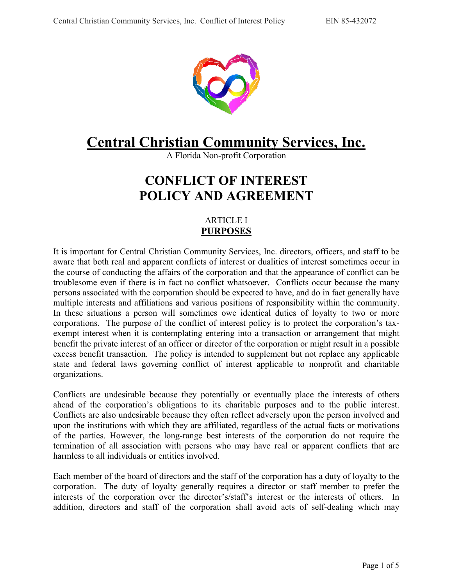

# **Central Christian Community Services, Inc.**

A Florida Non-profit Corporation

# **CONFLICT OF INTEREST POLICY AND AGREEMENT**

## ARTICLE I **PURPOSES**

It is important for Central Christian Community Services, Inc. directors, officers, and staff to be aware that both real and apparent conflicts of interest or dualities of interest sometimes occur in the course of conducting the affairs of the corporation and that the appearance of conflict can be troublesome even if there is in fact no conflict whatsoever. Conflicts occur because the many persons associated with the corporation should be expected to have, and do in fact generally have multiple interests and affiliations and various positions of responsibility within the community. In these situations a person will sometimes owe identical duties of loyalty to two or more corporations. The purpose of the conflict of interest policy is to protect the corporation's taxexempt interest when it is contemplating entering into a transaction or arrangement that might benefit the private interest of an officer or director of the corporation or might result in a possible excess benefit transaction. The policy is intended to supplement but not replace any applicable state and federal laws governing conflict of interest applicable to nonprofit and charitable organizations.

Conflicts are undesirable because they potentially or eventually place the interests of others ahead of the corporation's obligations to its charitable purposes and to the public interest. Conflicts are also undesirable because they often reflect adversely upon the person involved and upon the institutions with which they are affiliated, regardless of the actual facts or motivations of the parties. However, the long-range best interests of the corporation do not require the termination of all association with persons who may have real or apparent conflicts that are harmless to all individuals or entities involved.

Each member of the board of directors and the staff of the corporation has a duty of loyalty to the corporation. The duty of loyalty generally requires a director or staff member to prefer the interests of the corporation over the director's/staff's interest or the interests of others. In addition, directors and staff of the corporation shall avoid acts of self-dealing which may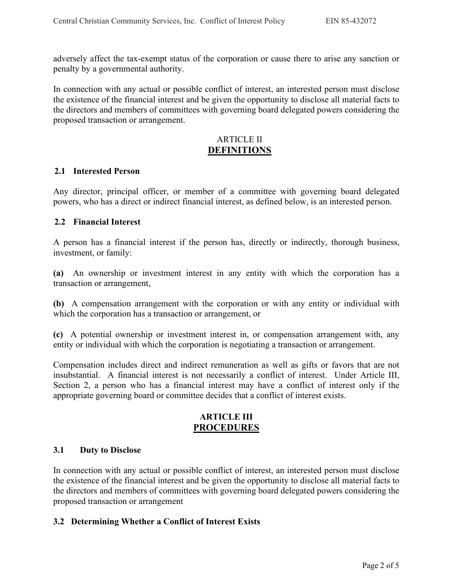adversely affect the tax-exempt status of the corporation or cause there to arise any sanction or penalty by a governmental authority.

In connection with any actual or possible conflict of interest, an interested person must disclose the existence of the financial interest and be given the opportunity to disclose all material facts to the directors and members of committees with governing board delegated powers considering the proposed transaction or arrangement.

## ARTICLE II **DEFINITIONS**

#### **2.1 Interested Person**

Any director, principal officer, or member of a committee with governing board delegated powers, who has a direct or indirect financial interest, as defined below, is an interested person.

#### **2.2 Financial Interest**

A person has a financial interest if the person has, directly or indirectly, thorough business, investment, or family:

**(a)** An ownership or investment interest in any entity with which the corporation has a transaction or arrangement,

**(b)** A compensation arrangement with the corporation or with any entity or individual with which the corporation has a transaction or arrangement, or

**(c)** A potential ownership or investment interest in, or compensation arrangement with, any entity or individual with which the corporation is negotiating a transaction or arrangement.

Compensation includes direct and indirect remuneration as well as gifts or favors that are not insubstantial. A financial interest is not necessarily a conflict of interest. Under Article III, Section 2, a person who has a financial interest may have a conflict of interest only if the appropriate governing board or committee decides that a conflict of interest exists.

## **ARTICLE III PROCEDURES**

#### **3.1 Duty to Disclose**

In connection with any actual or possible conflict of interest, an interested person must disclose the existence of the financial interest and be given the opportunity to disclose all material facts to the directors and members of committees with governing board delegated powers considering the proposed transaction or arrangement

#### **3.2 Determining Whether a Conflict of Interest Exists**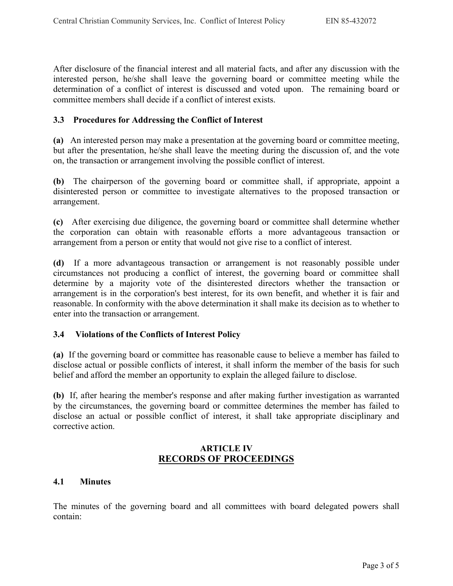After disclosure of the financial interest and all material facts, and after any discussion with the interested person, he/she shall leave the governing board or committee meeting while the determination of a conflict of interest is discussed and voted upon. The remaining board or committee members shall decide if a conflict of interest exists.

### **3.3 Procedures for Addressing the Conflict of Interest**

**(a)** An interested person may make a presentation at the governing board or committee meeting, but after the presentation, he/she shall leave the meeting during the discussion of, and the vote on, the transaction or arrangement involving the possible conflict of interest.

**(b)** The chairperson of the governing board or committee shall, if appropriate, appoint a disinterested person or committee to investigate alternatives to the proposed transaction or arrangement.

**(c)** After exercising due diligence, the governing board or committee shall determine whether the corporation can obtain with reasonable efforts a more advantageous transaction or arrangement from a person or entity that would not give rise to a conflict of interest.

**(d)** If a more advantageous transaction or arrangement is not reasonably possible under circumstances not producing a conflict of interest, the governing board or committee shall determine by a majority vote of the disinterested directors whether the transaction or arrangement is in the corporation's best interest, for its own benefit, and whether it is fair and reasonable. In conformity with the above determination it shall make its decision as to whether to enter into the transaction or arrangement.

#### **3.4 Violations of the Conflicts of Interest Policy**

**(a)** If the governing board or committee has reasonable cause to believe a member has failed to disclose actual or possible conflicts of interest, it shall inform the member of the basis for such belief and afford the member an opportunity to explain the alleged failure to disclose.

**(b)** If, after hearing the member's response and after making further investigation as warranted by the circumstances, the governing board or committee determines the member has failed to disclose an actual or possible conflict of interest, it shall take appropriate disciplinary and corrective action.

## **ARTICLE IV RECORDS OF PROCEEDINGS**

#### **4.1 Minutes**

The minutes of the governing board and all committees with board delegated powers shall contain: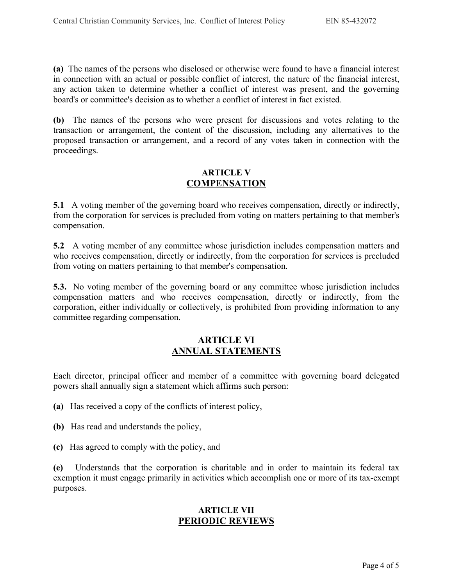**(a)** The names of the persons who disclosed or otherwise were found to have a financial interest in connection with an actual or possible conflict of interest, the nature of the financial interest, any action taken to determine whether a conflict of interest was present, and the governing board's or committee's decision as to whether a conflict of interest in fact existed.

**(b)** The names of the persons who were present for discussions and votes relating to the transaction or arrangement, the content of the discussion, including any alternatives to the proposed transaction or arrangement, and a record of any votes taken in connection with the proceedings.

## **ARTICLE V COMPENSATION**

**5.1** A voting member of the governing board who receives compensation, directly or indirectly, from the corporation for services is precluded from voting on matters pertaining to that member's compensation.

**5.2** A voting member of any committee whose jurisdiction includes compensation matters and who receives compensation, directly or indirectly, from the corporation for services is precluded from voting on matters pertaining to that member's compensation.

**5.3.** No voting member of the governing board or any committee whose jurisdiction includes compensation matters and who receives compensation, directly or indirectly, from the corporation, either individually or collectively, is prohibited from providing information to any committee regarding compensation.

## **ARTICLE VI ANNUAL STATEMENTS**

Each director, principal officer and member of a committee with governing board delegated powers shall annually sign a statement which affirms such person:

**(a)** Has received a copy of the conflicts of interest policy,

- **(b)** Has read and understands the policy,
- **(c)** Has agreed to comply with the policy, and

**(e)** Understands that the corporation is charitable and in order to maintain its federal tax exemption it must engage primarily in activities which accomplish one or more of its tax-exempt purposes.

## **ARTICLE VII PERIODIC REVIEWS**